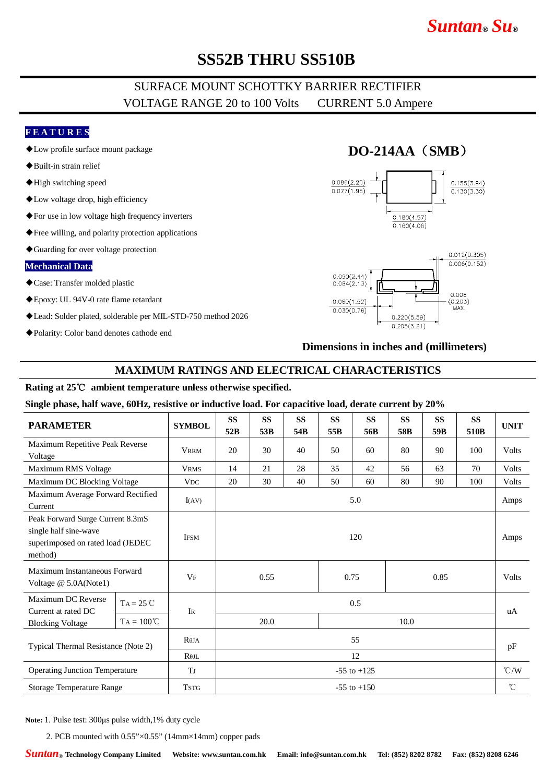# *Suntan***®** *Su***®**

# **SS52B THRU SS510B**

## SURFACE MOUNT SCHOTTKY BARRIER RECTIFIER VOLTAGE RANGE 20 to 100 Volts CURRENT 5.0 Ampere

### **F E A T U R E S**

- ◆Low profile surface mount package
- ◆Built-in strain relief
- ◆High switching speed
- ◆Low voltage drop, high efficiency
- ◆For use in low voltage high frequency inverters
- ◆Free willing, and polarity protection applications
- ◆Guarding for over voltage protection

#### **Mechanical Data**

- ◆Case: Transfer molded plastic
- ◆Epoxy: UL 94V-0 rate flame retardant
- ◆Lead: Solder plated, solderable per MIL-STD-750 method 2026
- ◆Polarity: Color band denotes cathode end

## **DO-214AA**(**SMB**)





### **Dimensions in inches and (millimeters)**

#### **MAXIMUM RATINGS AND ELECTRICAL CHARACTERISTICS**

### **Rating at 25**℃ **ambient temperature unless otherwise specified.**

#### **Single phase, half wave, 60Hz, resistive or inductive load. For capacitive load, derate current by 20%**

| <b>PARAMETER</b>                                                                                          |                     | <b>SYMBOL</b>         | <b>SS</b><br>52B | <b>SS</b><br>53B | <b>SS</b><br>54B | <b>SS</b><br>55B | <b>SS</b><br>56B | <b>SS</b><br>58B | <b>SS</b><br>59B | <b>SS</b><br>510 <sub>B</sub> | <b>UNIT</b>   |
|-----------------------------------------------------------------------------------------------------------|---------------------|-----------------------|------------------|------------------|------------------|------------------|------------------|------------------|------------------|-------------------------------|---------------|
| Maximum Repetitive Peak Reverse<br>Voltage                                                                |                     | <b>VRRM</b>           | 20               | 30               | 40               | 50               | 60               | 80               | 90               | 100                           | <b>Volts</b>  |
| Maximum RMS Voltage                                                                                       |                     | <b>VRMS</b>           | 14               | 21               | 28               | 35               | 42               | 56               | 63               | 70                            | Volts         |
| Maximum DC Blocking Voltage                                                                               |                     | <b>VDC</b>            | 20               | 30               | 40               | 50               | 60               | 80               | 90               | 100                           | Volts         |
| Maximum Average Forward Rectified<br>Current                                                              |                     | I(AV)                 | 5.0              |                  |                  |                  |                  |                  |                  |                               | Amps          |
| Peak Forward Surge Current 8.3mS<br>single half sine-wave<br>superimposed on rated load (JEDEC<br>method) |                     | <b>IFSM</b>           | 120              |                  |                  |                  |                  |                  |                  |                               | Amps          |
| Maximum Instantaneous Forward<br>Voltage @ 5.0A(Note1)                                                    |                     | $V_{F}$               |                  | 0.55<br>0.75     |                  |                  |                  | 0.85             |                  |                               | <b>Volts</b>  |
| Maximum DC Reverse<br>Current at rated DC                                                                 | $TA = 25^{\circ}C$  | IR                    | 0.5              |                  |                  |                  |                  |                  |                  |                               | uA            |
| <b>Blocking Voltage</b>                                                                                   | $TA = 100^{\circ}C$ |                       | 20.0<br>10.0     |                  |                  |                  |                  |                  |                  |                               |               |
| Typical Thermal Resistance (Note 2)                                                                       |                     | $R\theta$ JA          | 55               |                  |                  |                  |                  |                  |                  |                               | pF            |
|                                                                                                           |                     | $R$ $0$ JL            | 12               |                  |                  |                  |                  |                  |                  |                               |               |
| <b>Operating Junction Temperature</b>                                                                     |                     | <b>T</b> <sub>J</sub> | $-55$ to $+125$  |                  |                  |                  |                  |                  |                  |                               | $\degree$ C/W |
| Storage Temperature Range                                                                                 |                     | <b>TSTG</b>           | $-55$ to $+150$  |                  |                  |                  |                  |                  |                  |                               | $^{\circ}$ C  |

**Note:** 1. Pulse test: 300μs pulse width,1% duty cycle

2. PCB mounted with 0.55"×0.55" (14mm×14mm) copper pads